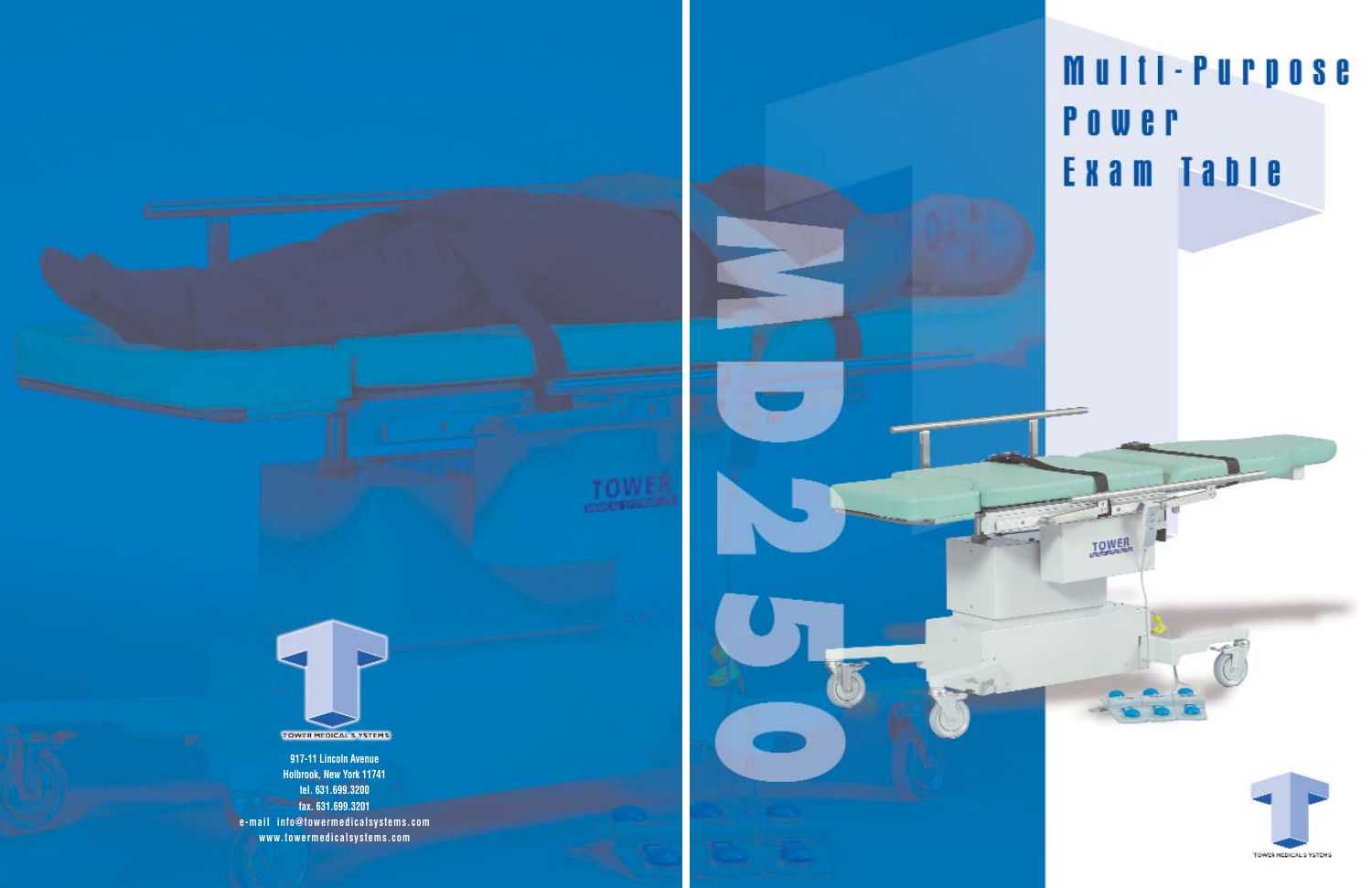

**917-11 Lincoln Avenue Holbrook, New York 11741 tel. 631.699.3200 fax. 631.699.3201 e-mail info@towermedicalsystems.com www.towermedicalsystems.com**

# Multi-Purpose POWER Exam Table

**TOWER**